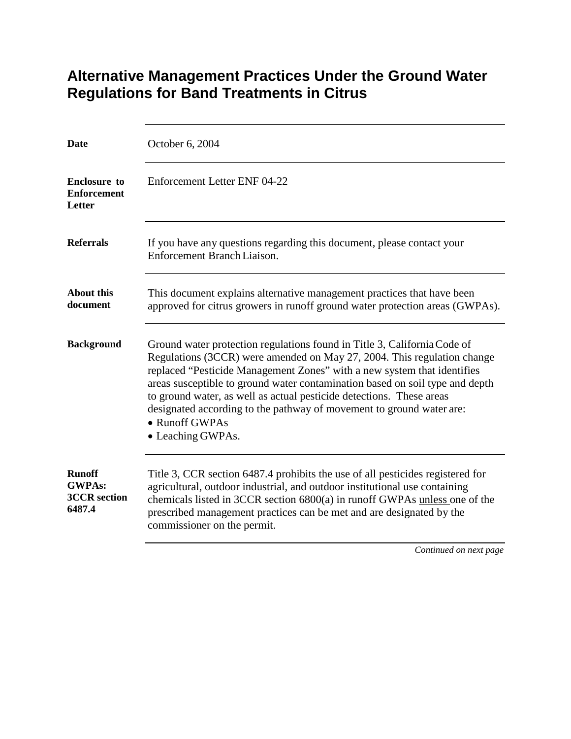## **Alternative Management Practices Under the Ground Water Regulations for Band Treatments in Citrus**

| Date                                                            | October 6, 2004                                                                                                                                                                                                                                                                                                                                                                                                                                                                                       |
|-----------------------------------------------------------------|-------------------------------------------------------------------------------------------------------------------------------------------------------------------------------------------------------------------------------------------------------------------------------------------------------------------------------------------------------------------------------------------------------------------------------------------------------------------------------------------------------|
| <b>Enclosure to</b><br><b>Enforcement</b><br>Letter             | Enforcement Letter ENF 04-22                                                                                                                                                                                                                                                                                                                                                                                                                                                                          |
| <b>Referrals</b>                                                | If you have any questions regarding this document, please contact your<br><b>Enforcement Branch Liaison.</b>                                                                                                                                                                                                                                                                                                                                                                                          |
| <b>About this</b><br>document                                   | This document explains alternative management practices that have been<br>approved for citrus growers in runoff ground water protection areas (GWPAs).                                                                                                                                                                                                                                                                                                                                                |
| <b>Background</b>                                               | Ground water protection regulations found in Title 3, California Code of<br>Regulations (3CCR) were amended on May 27, 2004. This regulation change<br>replaced "Pesticide Management Zones" with a new system that identifies<br>areas susceptible to ground water contamination based on soil type and depth<br>to ground water, as well as actual pesticide detections. These areas<br>designated according to the pathway of movement to ground water are:<br>• Runoff GWPAs<br>• Leaching GWPAs. |
| <b>Runoff</b><br><b>GWPAs:</b><br><b>3CCR</b> section<br>6487.4 | Title 3, CCR section 6487.4 prohibits the use of all pesticides registered for<br>agricultural, outdoor industrial, and outdoor institutional use containing<br>chemicals listed in 3CCR section 6800(a) in runoff GWPAs unless one of the<br>prescribed management practices can be met and are designated by the<br>commissioner on the permit.                                                                                                                                                     |
|                                                                 | Continued on next page                                                                                                                                                                                                                                                                                                                                                                                                                                                                                |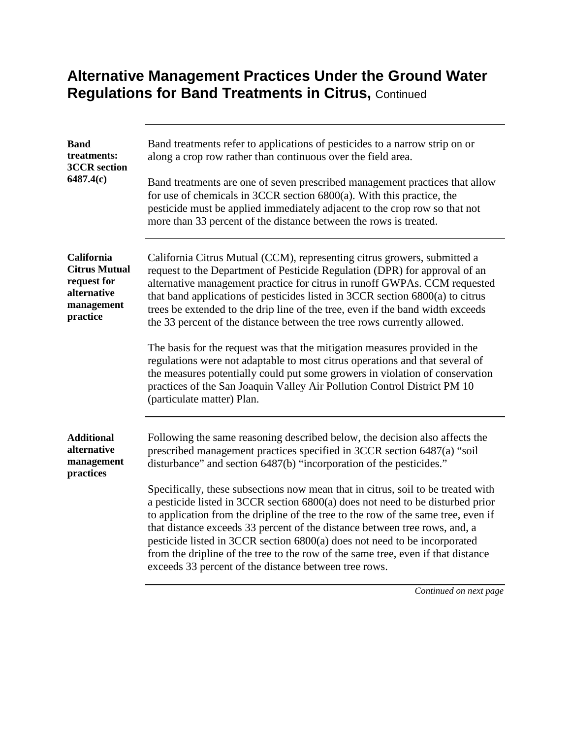## **Alternative Management Practices Under the Ground Water Regulations for Band Treatments in Citrus, Continued**

| <b>Band</b><br>treatments:<br><b>3CCR</b> section<br>6487.4(c)                             | Band treatments refer to applications of pesticides to a narrow strip on or<br>along a crop row rather than continuous over the field area.<br>Band treatments are one of seven prescribed management practices that allow<br>for use of chemicals in $3CCR$ section $6800(a)$ . With this practice, the<br>pesticide must be applied immediately adjacent to the crop row so that not<br>more than 33 percent of the distance between the rows is treated.                                                                                                                                                                                                                                                                                                                                                                               |
|--------------------------------------------------------------------------------------------|-------------------------------------------------------------------------------------------------------------------------------------------------------------------------------------------------------------------------------------------------------------------------------------------------------------------------------------------------------------------------------------------------------------------------------------------------------------------------------------------------------------------------------------------------------------------------------------------------------------------------------------------------------------------------------------------------------------------------------------------------------------------------------------------------------------------------------------------|
| California<br><b>Citrus Mutual</b><br>request for<br>alternative<br>management<br>practice | California Citrus Mutual (CCM), representing citrus growers, submitted a<br>request to the Department of Pesticide Regulation (DPR) for approval of an<br>alternative management practice for citrus in runoff GWPAs. CCM requested<br>that band applications of pesticides listed in 3CCR section 6800(a) to citrus<br>trees be extended to the drip line of the tree, even if the band width exceeds<br>the 33 percent of the distance between the tree rows currently allowed.<br>The basis for the request was that the mitigation measures provided in the<br>regulations were not adaptable to most citrus operations and that several of<br>the measures potentially could put some growers in violation of conservation<br>practices of the San Joaquin Valley Air Pollution Control District PM 10<br>(particulate matter) Plan. |
| <b>Additional</b><br>alternative<br>management<br>practices                                | Following the same reasoning described below, the decision also affects the<br>prescribed management practices specified in 3CCR section 6487(a) "soil<br>disturbance" and section 6487(b) "incorporation of the pesticides."<br>Specifically, these subsections now mean that in citrus, soil to be treated with<br>a pesticide listed in 3CCR section 6800(a) does not need to be disturbed prior<br>to application from the dripline of the tree to the row of the same tree, even if<br>that distance exceeds 33 percent of the distance between tree rows, and, a<br>pesticide listed in 3CCR section 6800(a) does not need to be incorporated<br>from the dripline of the tree to the row of the same tree, even if that distance<br>exceeds 33 percent of the distance between tree rows.                                          |

*Continued on next page*